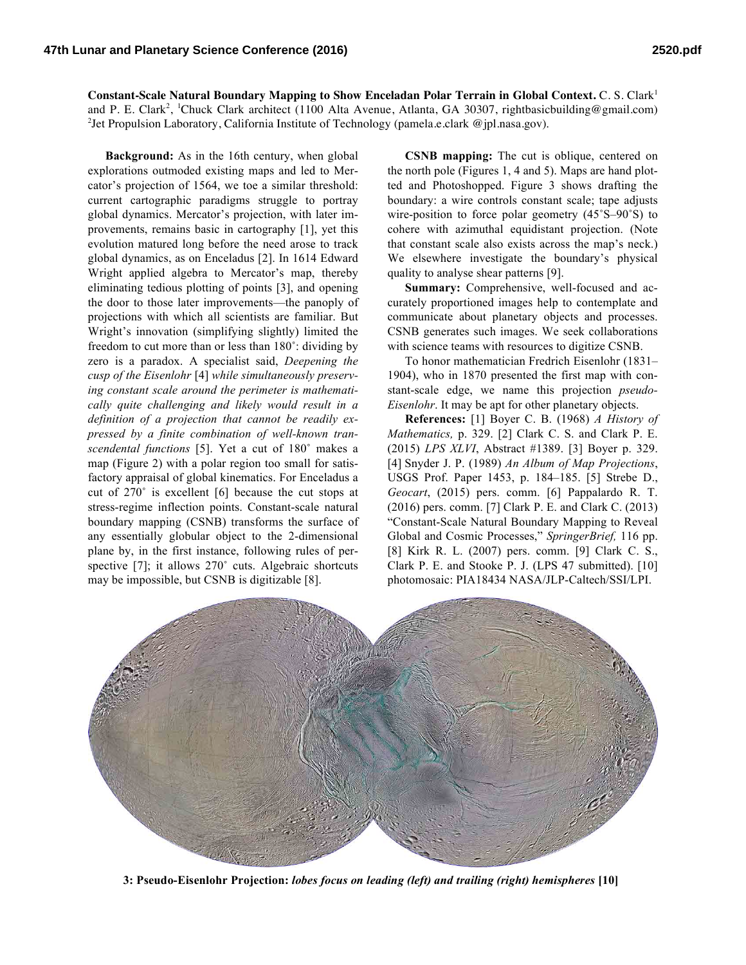**Constant-Scale Natural Boundary Mapping to Show Enceladan Polar Terrain in Global Context.** C. S. Clark<sup>1</sup> and P. E. Clark<sup>2</sup>, <sup>1</sup>Chuck Clark architect (1100 Alta Avenue, Atlanta, GA 30307, rightbasicbuilding@gmail.com) <sup>2</sup>Jet Propulsion Laboratory, California Institute of Technology (pamela.e.clark @jpl.nasa.gov).

**Background:** As in the 16th century, when global explorations outmoded existing maps and led to Mercator's projection of 1564, we toe a similar threshold: current cartographic paradigms struggle to portray global dynamics. Mercator's projection, with later improvements, remains basic in cartography [1], yet this evolution matured long before the need arose to track global dynamics, as on Enceladus [2]. In 1614 Edward Wright applied algebra to Mercator's map, thereby eliminating tedious plotting of points [3], and opening the door to those later improvements—the panoply of projections with which all scientists are familiar. But Wright's innovation (simplifying slightly) limited the freedom to cut more than or less than 180˚: dividing by zero is a paradox. A specialist said, *Deepening the cusp of the Eisenlohr* [4] *while simultaneously preserving constant scale around the perimeter is mathematically quite challenging and likely would result in a definition of a projection that cannot be readily expressed by a finite combination of well-known transcendental functions* [5]. Yet a cut of 180˚ makes a map (Figure 2) with a polar region too small for satisfactory appraisal of global kinematics. For Enceladus a cut of 270˚ is excellent [6] because the cut stops at stress-regime inflection points. Constant-scale natural boundary mapping (CSNB) transforms the surface of any essentially globular object to the 2-dimensional plane by, in the first instance, following rules of perspective [7]; it allows 270° cuts. Algebraic shortcuts may be impossible, but CSNB is digitizable [8].

**CSNB mapping:** The cut is oblique, centered on the north pole (Figures 1, 4 and 5). Maps are hand plotted and Photoshopped. Figure 3 shows drafting the boundary: a wire controls constant scale; tape adjusts wire-position to force polar geometry (45˚S–90˚S) to cohere with azimuthal equidistant projection. (Note that constant scale also exists across the map's neck.) We elsewhere investigate the boundary's physical quality to analyse shear patterns [9].

**Summary:** Comprehensive, well-focused and accurately proportioned images help to contemplate and communicate about planetary objects and processes. CSNB generates such images. We seek collaborations with science teams with resources to digitize CSNB.

To honor mathematician Fredrich Eisenlohr (1831– 1904), who in 1870 presented the first map with constant-scale edge, we name this projection *pseudo-Eisenlohr*. It may be apt for other planetary objects.

**References:** [1] Boyer C. B. (1968) *A History of Mathematics,* p. 329. [2] Clark C. S. and Clark P. E. (2015) *LPS XLVI*, Abstract #1389. [3] Boyer p. 329. [4] Snyder J. P. (1989) *An Album of Map Projections*, USGS Prof. Paper 1453, p. 184–185. [5] Strebe D., *Geocart*, (2015) pers. comm. [6] Pappalardo R. T. (2016) pers. comm. [7] Clark P. E. and Clark C. (2013) "Constant-Scale Natural Boundary Mapping to Reveal Global and Cosmic Processes," *SpringerBrief,* 116 pp. [8] Kirk R. L. (2007) pers. comm. [9] Clark C. S., Clark P. E. and Stooke P. J. (LPS 47 submitted). [10] photomosaic: PIA18434 NASA/JLP-Caltech/SSI/LPI.



**3: Pseudo-Eisenlohr Projection:** *lobes focus on leading (left) and trailing (right) hemispheres* **[10]**